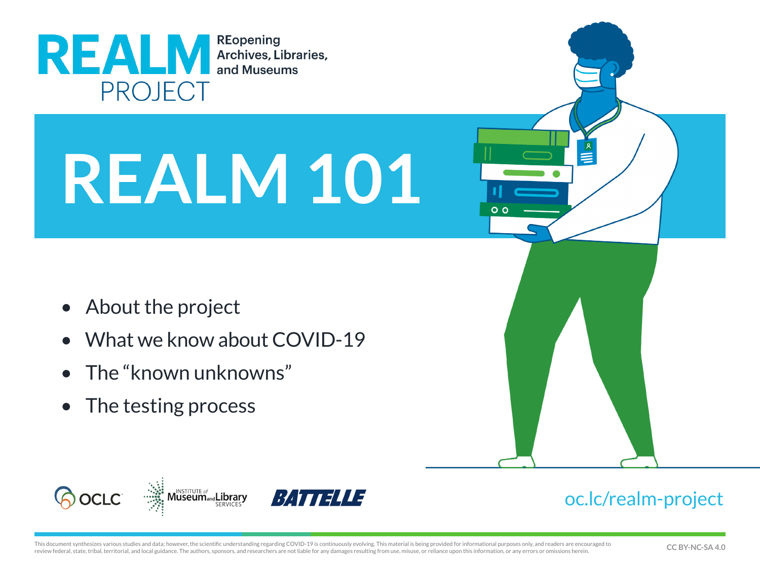

# **REALM 101**

- About the project
- What we know about COVID-19
- The "known unknowns"
- The testing process



### [oc.lc/realm-project](http://oc.lc/realm-project)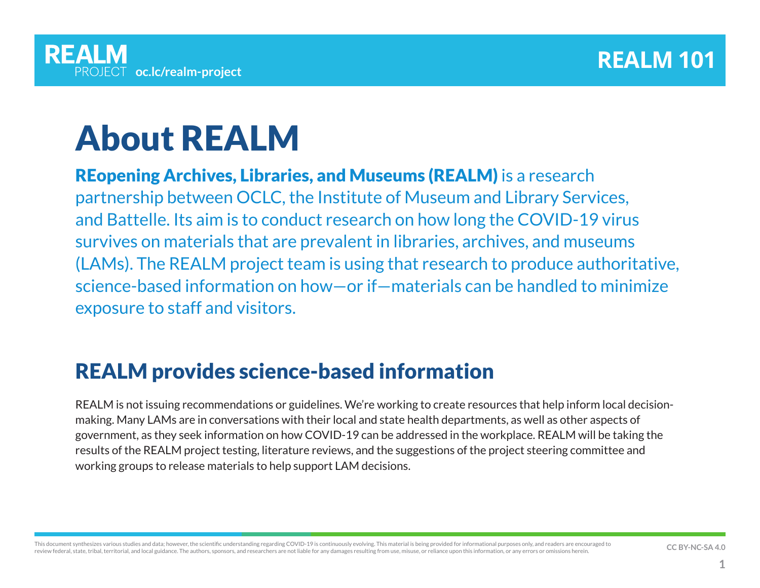## About REALM

REopening Archives, Libraries, and Museums (REALM) is a research partnership between OCLC, the Institute of Museum and Library Services, and Battelle. Its aim is to conduct research on how long the COVID-19 virus survives on materials that are prevalent in libraries, archives, and museums (LAMs). The REALM project team is using that research to produce authoritative, science‑based information on how—or if—materials can be handled to minimize exposure to staff and visitors.

### REALM provides science-based information

REALM is not issuing recommendations or guidelines. We're working to create resources that help inform local decisionmaking. Many LAMs are in conversations with their local and state health departments, as well as other aspects of government, as they seek information on how COVID-19 can be addressed in the workplace. REALM will be taking the results of the REALM project testing, literature reviews, and the suggestions of the project steering committee and working groups to release materials to help support LAM decisions.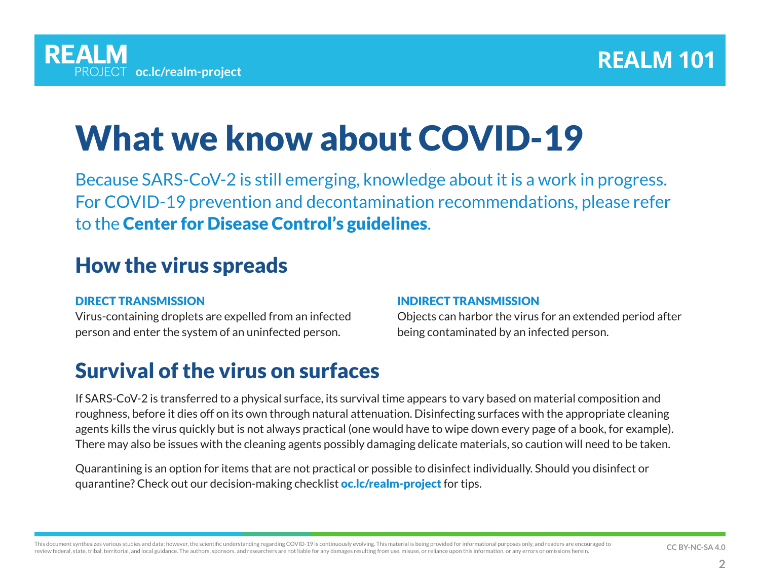# What we know about COVID-19

Because SARS-CoV-2 is still emerging, knowledge about it is a work in progress. For COVID-19 prevention and decontamination recommendations, please refer to the [Center for Disease Control's guidelines](https://www.cdc.gov/coronavirus/2019-ncov/index.html).

### How the virus spreads

#### DIRECT TRANSMISSION

Virus-containing droplets are expelled from an infected person and enter the system of an uninfected person.

#### INDIRECT TRANSMISSION

Objects can harbor the virus for an extended period after being contaminated by an infected person.

### Survival of the virus on surfaces

If SARS-CoV-2 is transferred to a physical surface, its survival time appears to vary based on material composition and roughness, before it dies off on its own through natural attenuation. Disinfecting surfaces with the appropriate cleaning agents kills the virus quickly but is not always practical (one would have to wipe down every page of a book, for example). There may also be issues with the cleaning agents possibly damaging delicate materials, so caution will need to be taken.

Quarantining is an option for items that are not practical or possible to disinfect individually. Should you disinfect or quarantine? Check out our decision-making checklist **[oc.lc/realm-project](https://www.oclc.org/realm/home.html)** for tips.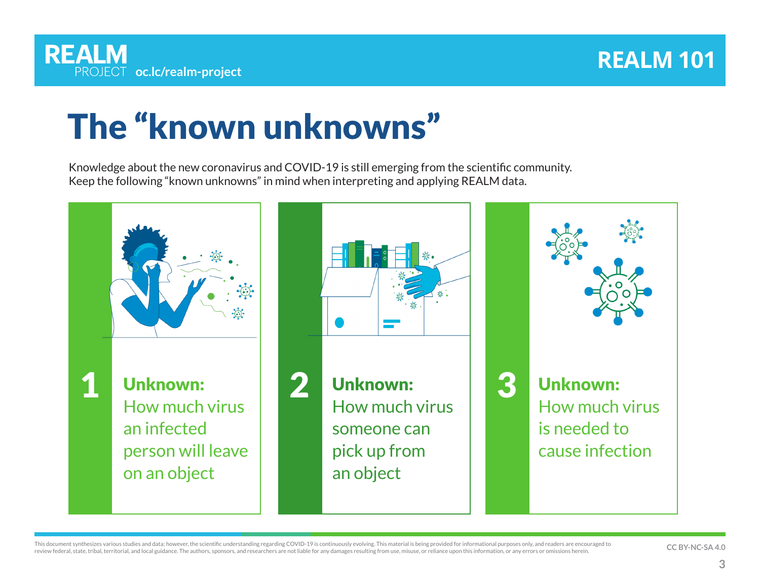# The "known unknowns"

Knowledge about the new coronavirus and COVID-19 is still emerging from the scientific community. Keep the following "known unknowns" in mind when interpreting and applying REALM data.